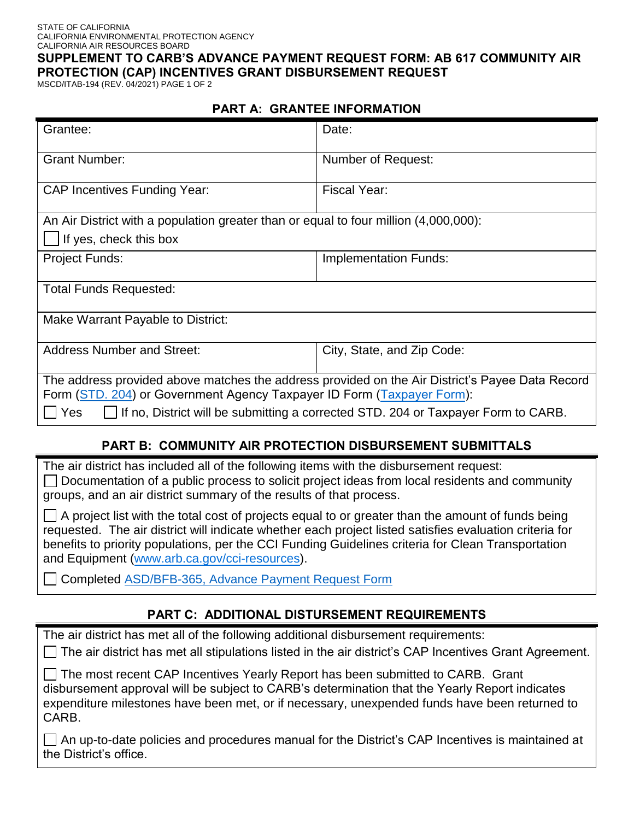#### STATE OF CALIFORNIA CALIFORNIA ENVIRONMENTAL PROTECTION AGENCY CALIFORNIA AIR RESOURCES BOARD

**SUPPLEMENT TO CARB'S ADVANCE PAYMENT REQUEST FORM: AB 617 COMMUNITY AIR PROTECTION (CAP) INCENTIVES GRANT DISBURSEMENT REQUEST** 

MSCD/ITAB-194 (REV. 04/2021) PAGE 1 OF 2

#### **PART A: GRANTEE INFORMATION**

| Grantee:                                                                                                                                                                                                                                                              | Date:                        |  |
|-----------------------------------------------------------------------------------------------------------------------------------------------------------------------------------------------------------------------------------------------------------------------|------------------------------|--|
| <b>Grant Number:</b>                                                                                                                                                                                                                                                  | Number of Request:           |  |
| <b>CAP Incentives Funding Year:</b>                                                                                                                                                                                                                                   | Fiscal Year:                 |  |
| An Air District with a population greater than or equal to four million (4,000,000):                                                                                                                                                                                  |                              |  |
| If yes, check this box                                                                                                                                                                                                                                                |                              |  |
| <b>Project Funds:</b>                                                                                                                                                                                                                                                 | <b>Implementation Funds:</b> |  |
| <b>Total Funds Requested:</b>                                                                                                                                                                                                                                         |                              |  |
| Make Warrant Payable to District:                                                                                                                                                                                                                                     |                              |  |
| <b>Address Number and Street:</b>                                                                                                                                                                                                                                     | City, State, and Zip Code:   |  |
| The address provided above matches the address provided on the Air District's Payee Data Record<br>Form (STD. 204) or Government Agency Taxpayer ID Form (Taxpayer Form):<br>If no, District will be submitting a corrected STD. 204 or Taxpayer Form to CARB.<br>Yes |                              |  |

#### **PART B: COMMUNITY AIR PROTECTION DISBURSEMENT SUBMITTALS**

The air district has included all of the following items with the disbursement request:  $\Box$  Documentation of a public process to solicit project ideas from local residents and community groups, and an air district summary of the results of that process.

 $\Box$  A project list with the total cost of projects equal to or greater than the amount of funds being requested. The air district will indicate whether each project listed satisfies evaluation criteria for benefits to priority populations, per the CCI Funding Guidelines criteria for Clean Transportation and Equipment (www.arb.ca.gov/cci-resources).

Completed [ASD/BFB-365, Advance Payment Request Form](https://ww2.arb.ca.gov/resources/documents/asdbfb-365-advance-payment-request-form) 

# **PART C: ADDITIONAL DISTURSEMENT REQUIREMENTS**

The air district has met all of the following additional disbursement requirements:  $\Box$  The air district has met all stipulations listed in the air district's CAP Incentives Grant Agreement. □ The most recent CAP Incentives Yearly Report has been submitted to CARB. Grant disbursement approval will be subject to CARB's determination that the Yearly Report indicates expenditure milestones have been met, or if necessary, unexpended funds have been returned to CARB.

An up-to-date policies and procedures manual for the District's CAP Incentives is maintained at the District's office.